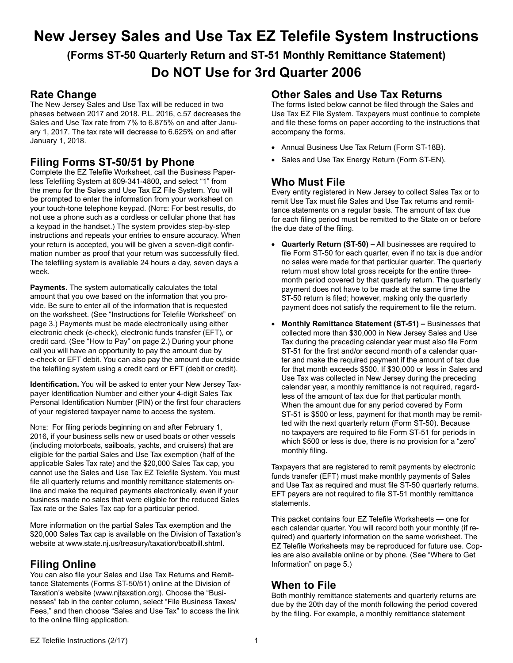# **New Jersey Sales and Use Tax EZ Telefile System Instructions (Forms ST-50 Quarterly Return and ST-51 Monthly Remittance Statement) Do NOT Use for 3rd Quarter 2006**

## **Rate Change**

The New Jersey Sales and Use Tax will be reduced in two phases between 2017 and 2018. P.L. 2016, c.57 decreases the Sales and Use Tax rate from 7% to 6.875% on and after January 1, 2017. The tax rate will decrease to 6.625% on and after January 1, 2018.

## **Filing Forms ST-50/51 by Phone**

Complete the EZ Telefile Worksheet, call the Business Paperless Telefiling System at 609-341-4800, and select "1" from the menu for the Sales and Use Tax EZ File System. You will be prompted to enter the information from your worksheet on your touch-tone telephone keypad. (Note: For best results, do not use a phone such as a cordless or cellular phone that has a keypad in the handset.) The system provides step-by-step instructions and repeats your entries to ensure accuracy. When your return is accepted, you will be given a seven-digit confirmation number as proof that your return was successfully filed. The telefiling system is available 24 hours a day, seven days a week.

**Payments.** The system automatically calculates the total amount that you owe based on the information that you provide. Be sure to enter all of the information that is requested on the worksheet. (See "Instructions for Telefile Worksheet" on page 3.) Payments must be made electronically using either electronic check (e-check), electronic funds transfer (EFT), or credit card. (See "How to Pay" on page 2.) During your phone call you will have an opportunity to pay the amount due by e-check or EFT debit. You can also pay the amount due outside the telefiling system using a credit card or EFT (debit or credit).

**Identification.** You will be asked to enter your New Jersey Taxpayer Identification Number and either your 4‑digit Sales Tax Personal Identification Number (PIN) or the first four characters of your registered taxpayer name to access the system.

NOTE: For filing periods beginning on and after February 1, 2016, if your business sells new or used boats or other vessels (including motorboats, sailboats, yachts, and cruisers) that are eligible for the partial Sales and Use Tax exemption (half of the applicable Sales Tax rate) and the \$20,000 Sales Tax cap, you cannot use the Sales and Use Tax EZ Telefile System. You must file all quarterly returns and monthly remittance statements online and make the required payments electronically, even if your business made no sales that were eligible for the reduced Sales Tax rate or the Sales Tax cap for a particular period.

More information on the partial Sales Tax exemption and the \$20,000 Sales Tax cap is available on the Division of Taxation's website at www.state.nj.us/treasury/taxation/boatbill.shtml.

## **Filing Online**

You can also file your Sales and Use Tax Returns and Remittance Statements (Forms ST‑50/51) online at the Division of Taxation's website (www.njtaxation.org). Choose the "Businesses" tab in the center column, select "File Business Taxes/ Fees," and then choose "Sales and Use Tax" to access the link to the online filing application.

## **Other Sales and Use Tax Returns**

The forms listed below cannot be filed through the Sales and Use Tax EZ File System. Taxpayers must continue to complete and file these forms on paper according to the instructions that accompany the forms.

- Annual Business Use Tax Return (Form ST-18B).
- Sales and Use Tax Energy Return (Form ST-EN).

## **Who Must File**

Every entity registered in New Jersey to collect Sales Tax or to remit Use Tax must file Sales and Use Tax returns and remittance statements on a regular basis. The amount of tax due for each filing period must be remitted to the State on or before the due date of the filing.

- **Quarterly Return (ST-50) –** All businesses are required to file Form ST-50 for each quarter, even if no tax is due and/or no sales were made for that particular quarter. The quarterly return must show total gross receipts for the entire threemonth period covered by that quarterly return. The quarterly payment does not have to be made at the same time the ST-50 return is filed; however, making only the quarterly payment does not satisfy the requirement to file the return.
- **Monthly Remittance Statement (ST-51)** Businesses that collected more than \$30,000 in New Jersey Sales and Use Tax during the preceding calendar year must also file Form ST-51 for the first and/or second month of a calendar quarter and make the required payment if the amount of tax due for that month exceeds \$500. If \$30,000 or less in Sales and Use Tax was collected in New Jersey during the preceding calendar year, a monthly remittance is not required, regardless of the amount of tax due for that particular month. When the amount due for any period covered by Form ST-51 is \$500 or less, payment for that month may be remitted with the next quarterly return (Form ST-50). Because no taxpayers are required to file Form ST‑51 for periods in which \$500 or less is due, there is no provision for a "zero" monthly filing.

Taxpayers that are registered to remit payments by electronic funds transfer (EFT) must make monthly payments of Sales and Use Tax as required and must file ST‑50 quarterly returns. EFT payers are not required to file ST‑51 monthly remittance statements.

This packet contains four EZ Telefile Worksheets — one for each calendar quarter. You will record both your monthly (if required) and quarterly information on the same worksheet. The EZ Telefile Worksheets may be reproduced for future use. Copies are also available online or by phone. (See "Where to Get Information" on page 5.)

## **When to File**

Both monthly remittance statements and quarterly returns are due by the 20th day of the month following the period covered by the filing. For example, a monthly remittance statement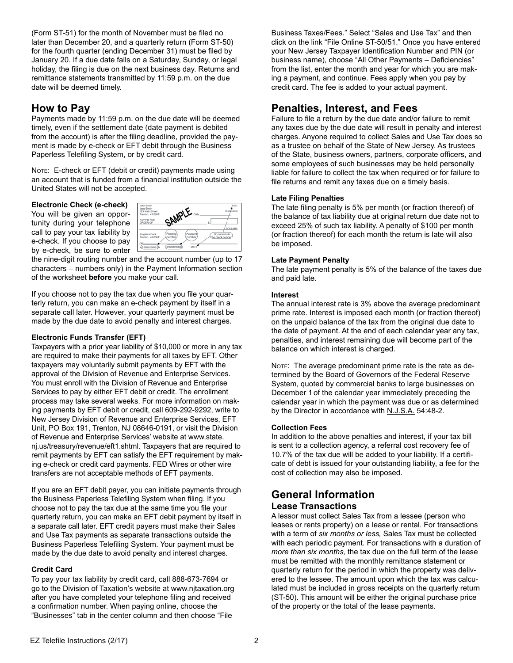(Form ST-51) for the month of November must be filed no later than December 20, and a quarterly return (Form ST-50) for the fourth quarter (ending December 31) must be filed by January 20. If a due date falls on a Saturday, Sunday, or legal holiday, the filing is due on the next business day. Returns and remittance statements transmitted by 11:59 p.m. on the due date will be deemed timely.

### **How to Pay**

Payments made by 11:59 p.m. on the due date will be deemed timely, even if the settlement date (date payment is debited from the account) is after the filing deadline, provided the payment is made by e-check or EFT debit through the Business Paperless Telefiling System, or by credit card.

NOTE: E-check or EFT (debit or credit) payments made using an account that is funded from a financial institution outside the United States will not be accepted.

**Electronic Check (e-check)** You will be given an opportunity during your telephone call to pay your tax liability by e‑check. If you choose to pay by e‑check, be sure to enter



the nine-digit routing number and the account number (up to 17 characters – numbers only) in the Payment Information section of the worksheet **before** you make your call.

If you choose not to pay the tax due when you file your quarterly return, you can make an e-check payment by itself in a separate call later. However, your quarterly payment must be made by the due date to avoid penalty and interest charges.

#### **Electronic Funds Transfer (EFT)**

Taxpayers with a prior year liability of \$10,000 or more in any tax are required to make their payments for all taxes by EFT. Other taxpayers may voluntarily submit payments by EFT with the approval of the Division of Revenue and Enterprise Services. You must enroll with the Division of Revenue and Enterprise Services to pay by either EFT debit or credit. The enrollment process may take several weeks. For more information on making payments by EFT debit or credit, call 609-292-9292, write to New Jersey Division of Revenue and Enterprise Services, EFT Unit, PO Box 191, Trenton, NJ 08646-0191, or visit the Division of Revenue and Enterprise Services' website at www.state. nj.us/treasury/revenue/eft1.shtml. Taxpayers that are required to remit payments by EFT can satisfy the EFT requirement by making e-check or credit card payments. FED Wires or other wire transfers are not acceptable methods of EFT payments.

If you are an EFT debit payer, you can initiate payments through the Business Paperless Telefiling System when filing. If you choose not to pay the tax due at the same time you file your quarterly return, you can make an EFT debit payment by itself in a separate call later. EFT credit payers must make their Sales and Use Tax payments as separate transactions outside the Business Paperless Telefiling System. Your payment must be made by the due date to avoid penalty and interest charges.

#### **Credit Card**

To pay your tax liability by credit card, call 888-673-7694 or go to the Division of Taxation's website at www.njtaxation.org after you have completed your telephone filing and received a confirmation number. When paying online, choose the "Businesses" tab in the center column and then choose "File

Business Taxes/Fees." Select "Sales and Use Tax" and then click on the link "File Online ST-50/51." Once you have entered your New Jersey Taxpayer Identification Number and PIN (or business name), choose "All Other Payments – Deficiencies" from the list, enter the month and year for which you are making a payment, and continue. Fees apply when you pay by credit card. The fee is added to your actual payment.

## **Penalties, Interest, and Fees**

Failure to file a return by the due date and/or failure to remit any taxes due by the due date will result in penalty and interest charges. Anyone required to collect Sales and Use Tax does so as a trustee on behalf of the State of New Jersey. As trustees of the State, business owners, partners, corporate officers, and some employees of such businesses may be held personally liable for failure to collect the tax when required or for failure to file returns and remit any taxes due on a timely basis.

#### **Late Filing Penalties**

The late filing penalty is 5% per month (or fraction thereof) of the balance of tax liability due at original return due date not to exceed 25% of such tax liability. A penalty of \$100 per month (or fraction thereof) for each month the return is late will also be imposed.

#### **Late Payment Penalty**

The late payment penalty is 5% of the balance of the taxes due and paid late.

#### **Interest**

The annual interest rate is 3% above the average predominant prime rate. Interest is imposed each month (or fraction thereof) on the unpaid balance of the tax from the original due date to the date of payment. At the end of each calendar year any tax, penalties, and interest remaining due will become part of the balance on which interest is charged.

NOTE: The average predominant prime rate is the rate as determined by the Board of Governors of the Federal Reserve System, quoted by commercial banks to large businesses on December 1 of the calendar year immediately preceding the calendar year in which the payment was due or as determined by the Director in accordance with N.J.S.A. 54:48-2.

#### **Collection Fees**

In addition to the above penalties and interest, if your tax bill is sent to a collection agency, a referral cost recovery fee of 10.7% of the tax due will be added to your liability. If a certificate of debt is issued for your outstanding liability, a fee for the cost of collection may also be imposed.

### **General Information Lease Transactions**

A lessor must collect Sales Tax from a lessee (person who leases or rents property) on a lease or rental. For transactions with a term of *six months or less,* Sales Tax must be collected with each periodic payment. For transactions with a duration of *more than six months,* the tax due on the full term of the lease must be remitted with the monthly remittance statement or quarterly return for the period in which the property was delivered to the lessee. The amount upon which the tax was calculated must be included in gross receipts on the quarterly return (ST-50). This amount will be either the original purchase price of the property or the total of the lease payments.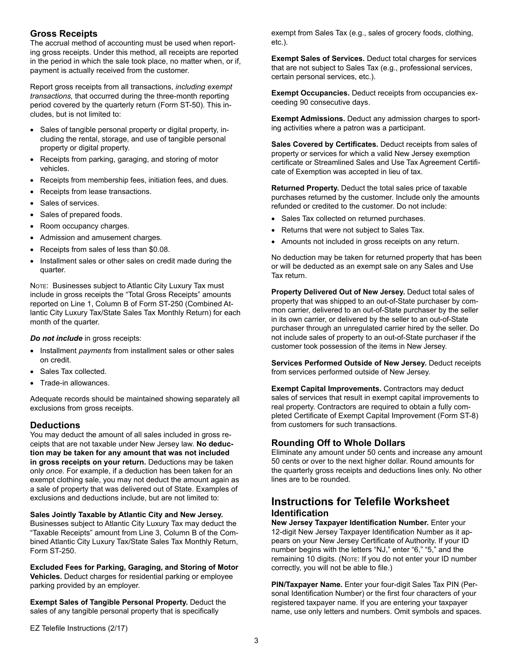### **Gross Receipts**

The accrual method of accounting must be used when reporting gross receipts. Under this method, all receipts are reported in the period in which the sale took place, no matter when, or if, payment is actually received from the customer.

Report gross receipts from all transactions, *including exempt transactions,* that occurred during the three-month reporting period covered by the quarterly return (Form ST-50). This includes, but is not limited to:

- Sales of tangible personal property or digital property, including the rental, storage, and use of tangible personal property or digital property.
- Receipts from parking, garaging, and storing of motor vehicles.
- Receipts from membership fees, initiation fees, and dues.
- Receipts from lease transactions.
- Sales of services.
- Sales of prepared foods.
- Room occupancy charges.
- Admission and amusement charges.
- Receipts from sales of less than \$0.08.
- Installment sales or other sales on credit made during the quarter.

NOTE: Businesses subject to Atlantic City Luxury Tax must include in gross receipts the "Total Gross Receipts" amounts reported on Line 1, Column B of Form ST-250 (Combined Atlantic City Luxury Tax/State Sales Tax Monthly Return) for each month of the quarter.

*Do not include* in gross receipts:

- Installment *payments* from installment sales or other sales on credit.
- Sales Tax collected.
- Trade-in allowances.

Adequate records should be maintained showing separately all exclusions from gross receipts.

#### **Deductions**

You may deduct the amount of all sales included in gross receipts that are not taxable under New Jersey law. **No deduction may be taken for any amount that was not included in gross receipts on your return.** Deductions may be taken only *once.* For example, if a deduction has been taken for an exempt clothing sale, you may not deduct the amount again as a sale of property that was delivered out of State. Examples of exclusions and deductions include, but are not limited to:

#### **Sales Jointly Taxable by Atlantic City and New Jersey.**

Businesses subject to Atlantic City Luxury Tax may deduct the "Taxable Receipts" amount from Line 3, Column B of the Combined Atlantic City Luxury Tax/State Sales Tax Monthly Return, Form ST-250.

**Excluded Fees for Parking, Garaging, and Storing of Motor Vehicles.** Deduct charges for residential parking or employee parking provided by an employer.

**Exempt Sales of Tangible Personal Property.** Deduct the sales of any tangible personal property that is specifically

exempt from Sales Tax (e.g., sales of grocery foods, clothing, etc.).

**Exempt Sales of Services.** Deduct total charges for services that are not subject to Sales Tax (e.g., professional services, certain personal services, etc.).

**Exempt Occupancies.** Deduct receipts from occupancies exceeding 90 consecutive days.

**Exempt Admissions.** Deduct any admission charges to sporting activities where a patron was a participant.

**Sales Covered by Certificates.** Deduct receipts from sales of property or services for which a valid New Jersey exemption certificate or Streamlined Sales and Use Tax Agreement Certificate of Exemption was accepted in lieu of tax.

**Returned Property.** Deduct the total sales price of taxable purchases returned by the customer. Include only the amounts refunded or credited to the customer. Do not include:

- Sales Tax collected on returned purchases.
- Returns that were not subject to Sales Tax.
- Amounts not included in gross receipts on any return.

No deduction may be taken for returned property that has been or will be deducted as an exempt sale on any Sales and Use Tax return.

**Property Delivered Out of New Jersey.** Deduct total sales of property that was shipped to an out-of-State purchaser by common carrier, delivered to an out-of-State purchaser by the seller in its own carrier, or delivered by the seller to an out-of-State purchaser through an unregulated carrier hired by the seller. Do not include sales of property to an out-of-State purchaser if the customer took possession of the items in New Jersey.

**Services Performed Outside of New Jersey.** Deduct receipts from services performed outside of New Jersey.

**Exempt Capital Improvements.** Contractors may deduct sales of services that result in exempt capital improvements to real property. Contractors are required to obtain a fully completed Certificate of Exempt Capital Improvement (Form ST‑8) from customers for such transactions.

#### **Rounding Off to Whole Dollars**

Eliminate any amount under 50 cents and increase any amount 50 cents or over to the next higher dollar. Round amounts for the quarterly gross receipts and deductions lines only. No other lines are to be rounded.

## **Instructions for Telefile Worksheet Identification**

**New Jersey Taxpayer Identification Number.** Enter your 12‑digit New Jersey Taxpayer Identification Number as it appears on your New Jersey Certificate of Authority. If your ID number begins with the letters "NJ," enter "6," "5," and the remaining 10 digits. (Note: If you do not enter your ID number correctly, you will not be able to file.)

**PIN/Taxpayer Name.** Enter your four-digit Sales Tax PIN (Personal Identification Number) or the first four characters of your registered taxpayer name. If you are entering your taxpayer name, use only letters and numbers. Omit symbols and spaces.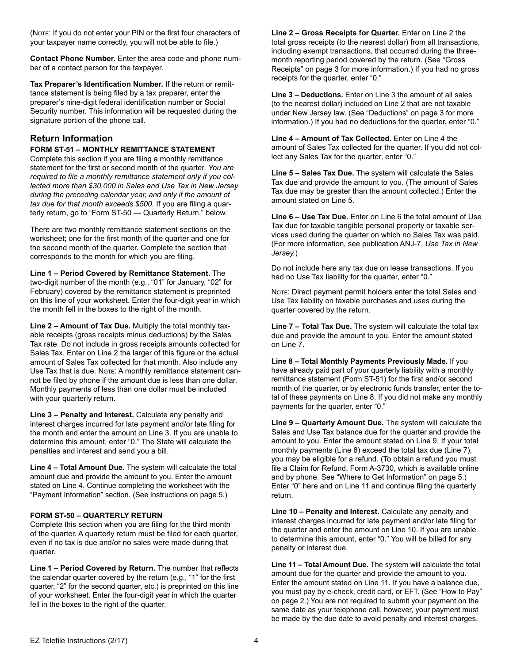(Note: If you do not enter your PIN or the first four characters of your taxpayer name correctly, you will not be able to file.)

**Contact Phone Number.** Enter the area code and phone number of a contact person for the taxpayer.

**Tax Preparer's Identification Number.** If the return or remittance statement is being filed by a tax preparer, enter the preparer's nine-digit federal identification number or Social Security number. This information will be requested during the signature portion of the phone call.

### **Return Information**

**Form ST-51 – Monthly Remittance Statement**

Complete this section if you are filing a monthly remittance statement for the first or second month of the quarter. *You are required to file a monthly remittance statement only if you collected more than \$30,000 in Sales and Use Tax in New Jersey during the preceding calendar year, and only if the amount of tax due for that month exceeds \$500.* If you are filing a quarterly return, go to "Form ST-50 - Quarterly Return," below.

There are two monthly remittance statement sections on the worksheet; one for the first month of the quarter and one for the second month of the quarter. Complete the section that corresponds to the month for which you are filing.

**Line 1 – Period Covered by Remittance Statement.** The two-digit number of the month (e.g., "01" for January, "02" for February) covered by the remittance statement is preprinted on this line of your worksheet. Enter the four-digit year in which the month fell in the boxes to the right of the month.

**Line 2 – Amount of Tax Due.** Multiply the total monthly taxable receipts (gross receipts minus deductions) by the Sales Tax rate. Do not include in gross receipts amounts collected for Sales Tax. Enter on Line 2 the larger of this figure or the actual amount of Sales Tax collected for that month. Also include any Use Tax that is due. Note: A monthly remittance statement cannot be filed by phone if the amount due is less than one dollar. Monthly payments of less than one dollar must be included with your quarterly return.

**Line 3 – Penalty and Interest.** Calculate any penalty and interest charges incurred for late payment and/or late filing for the month and enter the amount on Line 3. If you are unable to determine this amount, enter "0." The State will calculate the penalties and interest and send you a bill.

**Line 4 – Total Amount Due.** The system will calculate the total amount due and provide the amount to you. Enter the amount stated on Line 4. Continue completing the worksheet with the "Payment Information" section. (See instructions on page 5.)

#### **Form ST-50 – Quarterly Return**

Complete this section when you are filing for the third month of the quarter. A quarterly return must be filed for each quarter, even if no tax is due and/or no sales were made during that quarter.

**Line 1 – Period Covered by Return.** The number that reflects the calendar quarter covered by the return (e.g., "1" for the first quarter, "2" for the second quarter, etc.) is preprinted on this line of your worksheet. Enter the four-digit year in which the quarter fell in the boxes to the right of the quarter.

**Line 2 – Gross Receipts for Quarter.** Enter on Line 2 the total gross receipts (to the nearest dollar) from all transactions, including exempt transactions, that occurred during the threemonth reporting period covered by the return. (See "Gross Receipts" on page 3 for more information.) If you had no gross receipts for the quarter, enter "0."

**Line 3 – Deductions.** Enter on Line 3 the amount of all sales (to the nearest dollar) included on Line 2 that are not taxable under New Jersey law. (See "Deductions" on page 3 for more information.) If you had no deductions for the quarter, enter "0."

**Line 4 – Amount of Tax Collected.** Enter on Line 4 the amount of Sales Tax collected for the quarter. If you did not collect any Sales Tax for the quarter, enter "0."

**Line 5 – Sales Tax Due.** The system will calculate the Sales Tax due and provide the amount to you. (The amount of Sales Tax due may be greater than the amount collected.) Enter the amount stated on Line 5.

**Line 6 – Use Tax Due.** Enter on Line 6 the total amount of Use Tax due for taxable tangible personal property or taxable services used during the quarter on which no Sales Tax was paid. (For more information, see publication ANJ-7, *Use Tax in New Jersey.*)

Do not include here any tax due on lease transactions. If you had no Use Tax liability for the quarter, enter "0."

NOTE: Direct payment permit holders enter the total Sales and Use Tax liability on taxable purchases and uses during the quarter covered by the return.

**Line 7 – Total Tax Due.** The system will calculate the total tax due and provide the amount to you. Enter the amount stated on Line 7.

**Line 8 – Total Monthly Payments Previously Made.** If you have already paid part of your quarterly liability with a monthly remittance statement (Form ST‑51) for the first and/or second month of the quarter, or by electronic funds transfer, enter the total of these payments on Line 8. If you did not make any monthly payments for the quarter, enter "0."

**Line 9 – Quarterly Amount Due.** The system will calculate the Sales and Use Tax balance due for the quarter and provide the amount to you. Enter the amount stated on Line 9. If your total monthly payments (Line 8) exceed the total tax due (Line 7), you may be eligible for a refund. (To obtain a refund you must file a Claim for Refund, Form A‑3730, which is available online and by phone. See "Where to Get Information" on page 5.) Enter "0" here and on Line 11 and continue filing the quarterly return.

**Line 10 – Penalty and Interest.** Calculate any penalty and interest charges incurred for late payment and/or late filing for the quarter and enter the amount on Line 10. If you are unable to determine this amount, enter "0." You will be billed for any penalty or interest due.

**Line 11 – Total Amount Due.** The system will calculate the total amount due for the quarter and provide the amount to you. Enter the amount stated on Line 11. If you have a balance due, you must pay by e-check, credit card, or EFT. (See "How to Pay" on page 2.) You are not required to submit your payment on the same date as your telephone call, however, your payment must be made by the due date to avoid penalty and interest charges.